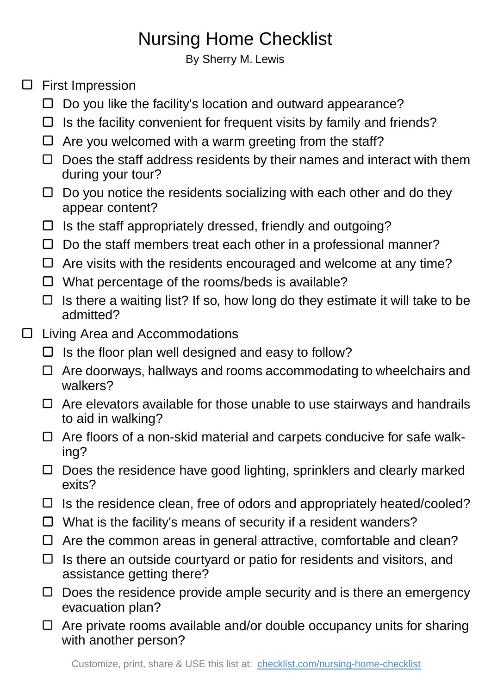## Nursing Home Checklist

By Sherry M. Lewis

## $\square$  First Impression

- $\Box$  Do you like the facility's location and outward appearance?
- $\Box$  Is the facility convenient for frequent visits by family and friends?
- $\Box$  Are you welcomed with a warm greeting from the staff?
- $\Box$  Does the staff address residents by their names and interact with them during your tour?
- $\Box$  Do you notice the residents socializing with each other and do they appear content?
- $\Box$  Is the staff appropriately dressed, friendly and outgoing?
- $\Box$  Do the staff members treat each other in a professional manner?
- $\Box$  Are visits with the residents encouraged and welcome at any time?
- $\Box$  What percentage of the rooms/beds is available?
- $\Box$  Is there a waiting list? If so, how long do they estimate it will take to be admitted?
- □ Living Area and Accommodations
	- $\Box$  Is the floor plan well designed and easy to follow?
	- $\Box$  Are doorways, hallways and rooms accommodating to wheelchairs and walkers?
	- $\Box$  Are elevators available for those unable to use stairways and handrails to aid in walking?
	- $\Box$  Are floors of a non-skid material and carpets conducive for safe walking?
	- Does the residence have good lighting, sprinklers and clearly marked exits?
	- $\Box$  Is the residence clean, free of odors and appropriately heated/cooled?
	- $\Box$  What is the facility's means of security if a resident wanders?
	- $\Box$  Are the common areas in general attractive, comfortable and clean?
	- $\Box$  Is there an outside courtyard or patio for residents and visitors, and assistance getting there?
	- $\Box$  Does the residence provide ample security and is there an emergency evacuation plan?
	- $\Box$  Are private rooms available and/or double occupancy units for sharing with another person?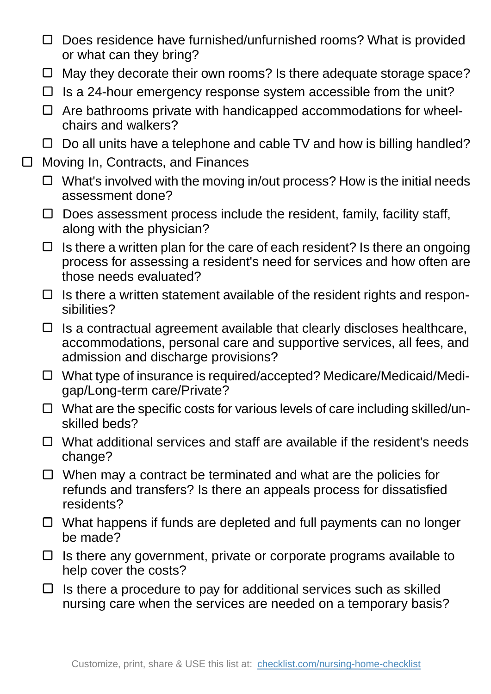- $\Box$  Does residence have furnished/unfurnished rooms? What is provided or what can they bring?
- $\Box$  May they decorate their own rooms? Is there adequate storage space?
- $\Box$  Is a 24-hour emergency response system accessible from the unit?
- $\Box$  Are bathrooms private with handicapped accommodations for wheelchairs and walkers?
- $\Box$  Do all units have a telephone and cable TV and how is billing handled?
- □ Moving In, Contracts, and Finances
	- $\Box$  What's involved with the moving in/out process? How is the initial needs assessment done?
	- $\Box$  Does assessment process include the resident, family, facility staff, along with the physician?
	- $\Box$  Is there a written plan for the care of each resident? Is there an ongoing process for assessing a resident's need for services and how often are those needs evaluated?
	- $\Box$  Is there a written statement available of the resident rights and responsibilities?
	- $\Box$  Is a contractual agreement available that clearly discloses healthcare, accommodations, personal care and supportive services, all fees, and admission and discharge provisions?
	- □ What type of insurance is required/accepted? Medicare/Medicaid/Medigap/Long-term care/Private?
	- $\Box$  What are the specific costs for various levels of care including skilled/unskilled beds?
	- $\Box$  What additional services and staff are available if the resident's needs change?
	- $\Box$  When may a contract be terminated and what are the policies for refunds and transfers? Is there an appeals process for dissatisfied residents?
	- $\Box$  What happens if funds are depleted and full payments can no longer be made?
	- $\Box$  Is there any government, private or corporate programs available to help cover the costs?
	- $\Box$  Is there a procedure to pay for additional services such as skilled nursing care when the services are needed on a temporary basis?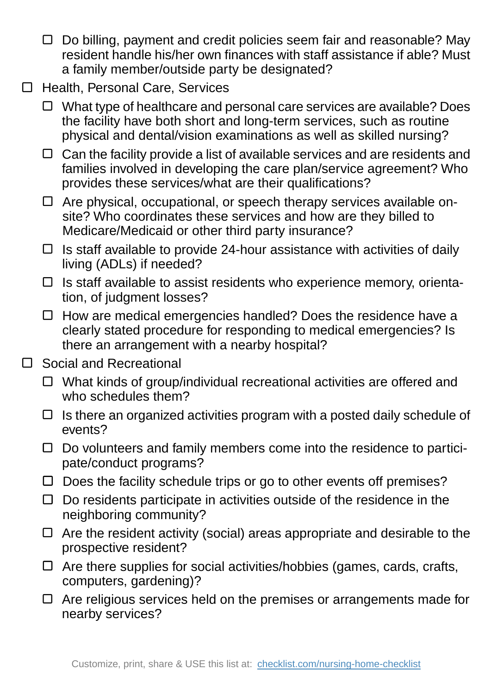- $\Box$  Do billing, payment and credit policies seem fair and reasonable? May resident handle his/her own finances with staff assistance if able? Must a family member/outside party be designated?
- □ Health, Personal Care, Services
	- What type of healthcare and personal care services are available? Does the facility have both short and long-term services, such as routine physical and dental/vision examinations as well as skilled nursing?
	- $\Box$  Can the facility provide a list of available services and are residents and families involved in developing the care plan/service agreement? Who provides these services/what are their qualifications?
	- $\Box$  Are physical, occupational, or speech therapy services available onsite? Who coordinates these services and how are they billed to Medicare/Medicaid or other third party insurance?
	- $\Box$  Is staff available to provide 24-hour assistance with activities of daily living (ADLs) if needed?
	- $\Box$  Is staff available to assist residents who experience memory, orientation, of judgment losses?
	- $\Box$  How are medical emergencies handled? Does the residence have a clearly stated procedure for responding to medical emergencies? Is there an arrangement with a nearby hospital?
- □ Social and Recreational
	- $\Box$  What kinds of group/individual recreational activities are offered and who schedules them?
	- $\Box$  Is there an organized activities program with a posted daily schedule of events?
	- $\Box$  Do volunteers and family members come into the residence to participate/conduct programs?
	- $\Box$  Does the facility schedule trips or go to other events off premises?
	- $\Box$  Do residents participate in activities outside of the residence in the neighboring community?
	- $\Box$  Are the resident activity (social) areas appropriate and desirable to the prospective resident?
	- $\Box$  Are there supplies for social activities/hobbies (games, cards, crafts, computers, gardening)?
	- $\Box$  Are religious services held on the premises or arrangements made for nearby services?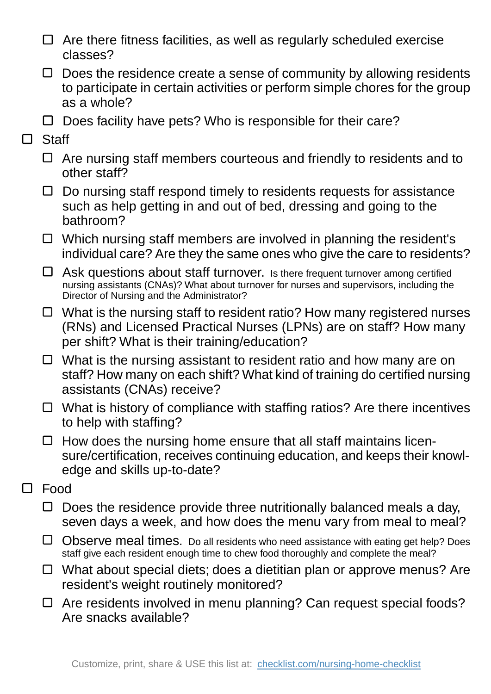- $\Box$  Are there fitness facilities, as well as regularly scheduled exercise classes?
- $\Box$  Does the residence create a sense of community by allowing residents to participate in certain activities or perform simple chores for the group as a whole?
- $\Box$  Does facility have pets? Who is responsible for their care?
- □ Staff
	- $\Box$  Are nursing staff members courteous and friendly to residents and to other staff?
	- $\Box$  Do nursing staff respond timely to residents requests for assistance such as help getting in and out of bed, dressing and going to the bathroom?
	- $\Box$  Which nursing staff members are involved in planning the resident's individual care? Are they the same ones who give the care to residents?
	- $\Box$  Ask questions about staff turnover. Is there frequent turnover among certified nursing assistants (CNAs)? What about turnover for nurses and supervisors, including the Director of Nursing and the Administrator?
	- $\Box$  What is the nursing staff to resident ratio? How many registered nurses (RNs) and Licensed Practical Nurses (LPNs) are on staff? How many per shift? What is their training/education?
	- $\Box$  What is the nursing assistant to resident ratio and how many are on staff? How many on each shift? What kind of training do certified nursing assistants (CNAs) receive?
	- $\Box$  What is history of compliance with staffing ratios? Are there incentives to help with staffing?
	- $\Box$  How does the nursing home ensure that all staff maintains licensure/certification, receives continuing education, and keeps their knowledge and skills up-to-date?
- $\Box$ Food
	- $\Box$  Does the residence provide three nutritionally balanced meals a day, seven days a week, and how does the menu vary from meal to meal?
	- Observe meal times. Do all residents who need assistance with eating get help? Does staff give each resident enough time to chew food thoroughly and complete the meal?
	- $\Box$  What about special diets; does a dietitian plan or approve menus? Are resident's weight routinely monitored?
	- □ Are residents involved in menu planning? Can request special foods? Are snacks available?